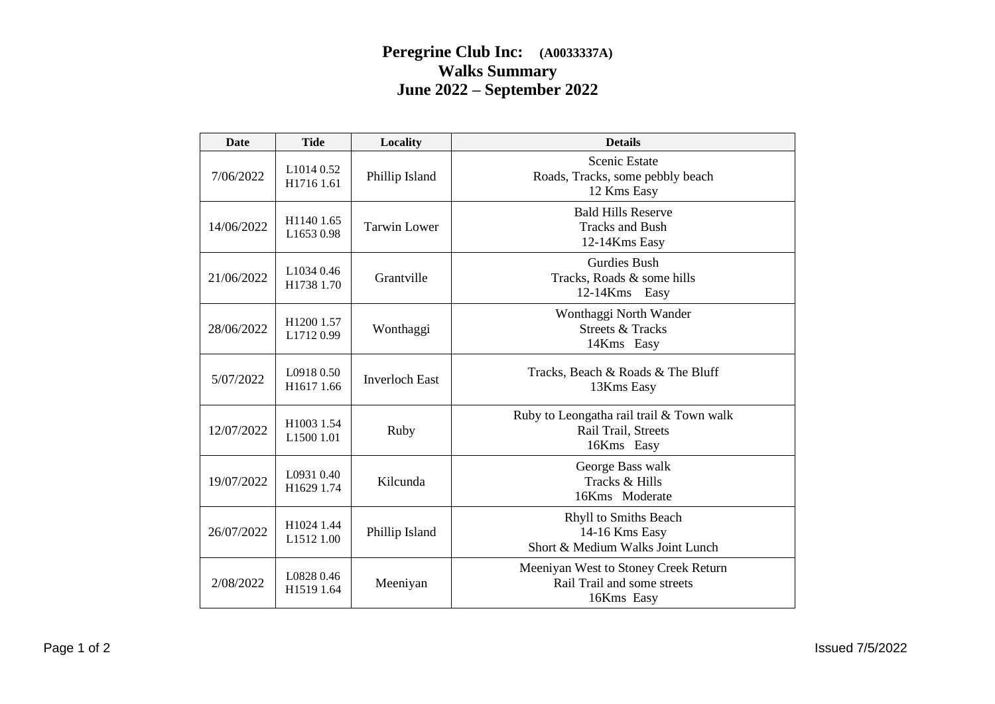## **Peregrine Club Inc: (A0033337A) Walks Summary June 2022 – September 2022**

| <b>Date</b> | <b>Tide</b>              | Locality              | <b>Details</b>                                                                    |
|-------------|--------------------------|-----------------------|-----------------------------------------------------------------------------------|
| 7/06/2022   | L1014 0.52<br>H1716 1.61 | Phillip Island        | <b>Scenic Estate</b><br>Roads, Tracks, some pebbly beach<br>12 Kms Easy           |
| 14/06/2022  | H1140 1.65<br>L1653 0.98 | <b>Tarwin Lower</b>   | <b>Bald Hills Reserve</b><br><b>Tracks and Bush</b><br>12-14Kms Easy              |
| 21/06/2022  | L1034 0.46<br>H1738 1.70 | Grantville            | <b>Gurdies Bush</b><br>Tracks, Roads & some hills<br>12-14Kms Easy                |
| 28/06/2022  | H1200 1.57<br>L17120.99  | Wonthaggi             | Wonthaggi North Wander<br><b>Streets &amp; Tracks</b><br>14Kms Easy               |
| 5/07/2022   | L0918 0.50<br>H1617 1.66 | <b>Inverloch East</b> | Tracks, Beach & Roads & The Bluff<br>13Kms Easy                                   |
| 12/07/2022  | H1003 1.54<br>L1500 1.01 | Ruby                  | Ruby to Leongatha rail trail & Town walk<br>Rail Trail, Streets<br>16Kms Easy     |
| 19/07/2022  | L0931 0.40<br>H1629 1.74 | Kilcunda              | George Bass walk<br>Tracks & Hills<br>16Kms Moderate                              |
| 26/07/2022  | H1024 1.44<br>L1512 1.00 | Phillip Island        | Rhyll to Smiths Beach<br>14-16 Kms Easy<br>Short & Medium Walks Joint Lunch       |
| 2/08/2022   | L0828 0.46<br>H1519 1.64 | Meeniyan              | Meeniyan West to Stoney Creek Return<br>Rail Trail and some streets<br>16Kms Easy |